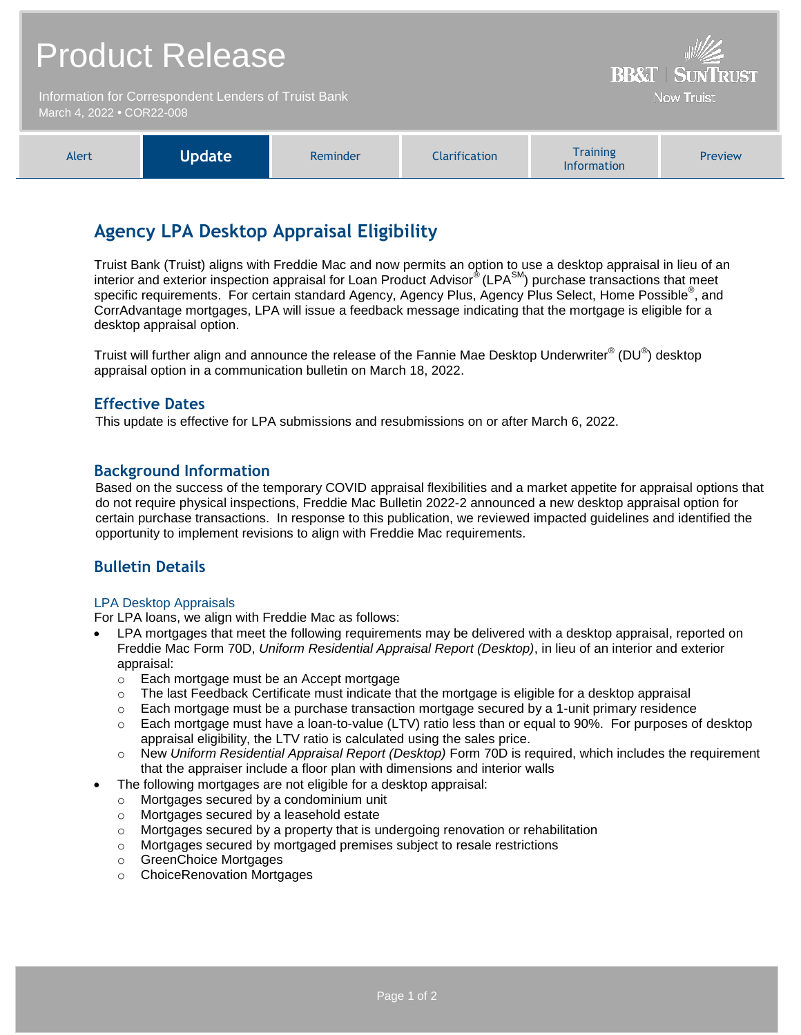| <b>Product Release</b>                                                            |               |          |                      | <b>BB&amp;T   SUNTRUST</b>            |         |
|-----------------------------------------------------------------------------------|---------------|----------|----------------------|---------------------------------------|---------|
| Information for Correspondent Lenders of Truist Bank<br>March 4, 2022 • COR22-008 |               |          |                      | <b>Now Truist</b>                     |         |
| Alert                                                                             | <b>Update</b> | Reminder | <b>Clarification</b> | <b>Training</b><br><b>Information</b> | Preview |

## **Agency LPA Desktop Appraisal Eligibility**

Truist Bank (Truist) aligns with Freddie Mac and now permits an option to use a desktop appraisal in lieu of an interior and exterior inspection appraisal for Loan Product Advisor® (LPA<sup>SM</sup>) purchase transactions that meet specific requirements. For certain standard Agency, Agency Plus, Agency Plus Select, Home Possible<sup>®</sup>, and CorrAdvantage mortgages, LPA will issue a feedback message indicating that the mortgage is eligible for a desktop appraisal option.

Truist will further align and announce the release of the Fannie Mae Desktop Underwriter $^{\circ}$  (DU $^{\circ}$ ) desktop appraisal option in a communication bulletin on March 18, 2022.

## **Effective Dates**

This update is effective for LPA submissions and resubmissions on or after March 6, 2022.

## **Background Information**

Based on the success of the temporary COVID appraisal flexibilities and a market appetite for appraisal options that do not require physical inspections, Freddie Mac Bulletin 2022-2 announced a new desktop appraisal option for certain purchase transactions. In response to this publication, we reviewed impacted guidelines and identified the opportunity to implement revisions to align with Freddie Mac requirements.

## **Bulletin Details**

#### LPA Desktop Appraisals

For LPA loans, we align with Freddie Mac as follows:

- LPA mortgages that meet the following requirements may be delivered with a desktop appraisal, reported on Freddie Mac Form 70D, *Uniform Residential Appraisal Report (Desktop)*, in lieu of an interior and exterior appraisal:
	- o Each mortgage must be an Accept mortgage
	- $\circ$  The last Feedback Certificate must indicate that the mortgage is eligible for a desktop appraisal
	- $\circ$  Each mortgage must be a purchase transaction mortgage secured by a 1-unit primary residence
	- $\circ$  Each mortgage must have a loan-to-value (LTV) ratio less than or equal to 90%. For purposes of desktop appraisal eligibility, the LTV ratio is calculated using the sales price.
	- o New *Uniform Residential Appraisal Report (Desktop)* Form 70D is required, which includes the requirement that the appraiser include a floor plan with dimensions and interior walls
- The following mortgages are not eligible for a desktop appraisal:
	- o Mortgages secured by a condominium unit
	- o Mortgages secured by a leasehold estate
	- $\circ$  Mortgages secured by a property that is undergoing renovation or rehabilitation
	- o Mortgages secured by mortgaged premises subject to resale restrictions
	- o GreenChoice Mortgages
	- o ChoiceRenovation Mortgages